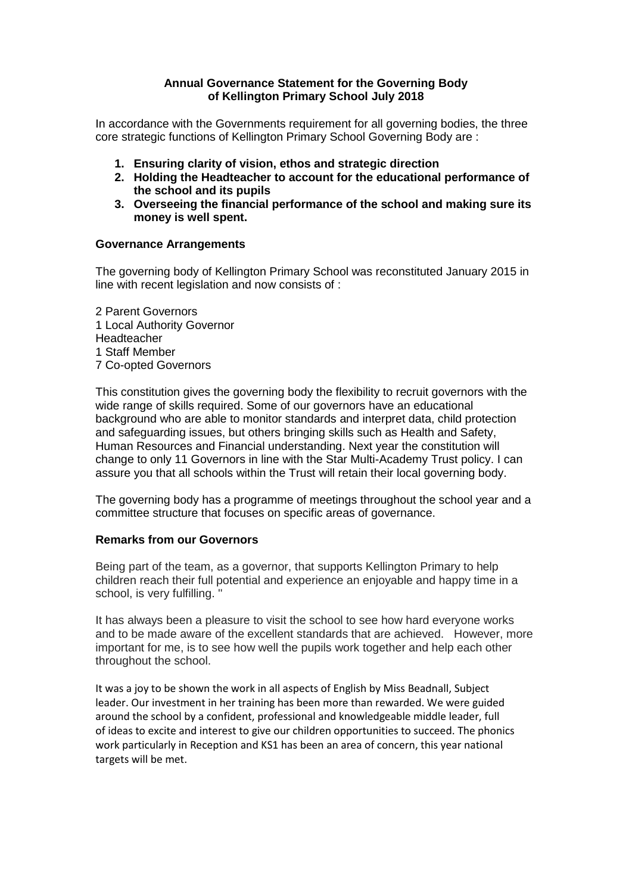### **Annual Governance Statement for the Governing Body of Kellington Primary School July 2018**

In accordance with the Governments requirement for all governing bodies, the three core strategic functions of Kellington Primary School Governing Body are :

- **1. Ensuring clarity of vision, ethos and strategic direction**
- **2. Holding the Headteacher to account for the educational performance of the school and its pupils**
- **3. Overseeing the financial performance of the school and making sure its money is well spent.**

### **Governance Arrangements**

The governing body of Kellington Primary School was reconstituted January 2015 in line with recent legislation and now consists of :

2 Parent Governors 1 Local Authority Governor Headteacher 1 Staff Member 7 Co-opted Governors

This constitution gives the governing body the flexibility to recruit governors with the wide range of skills required. Some of our governors have an educational background who are able to monitor standards and interpret data, child protection and safeguarding issues, but others bringing skills such as Health and Safety, Human Resources and Financial understanding. Next year the constitution will change to only 11 Governors in line with the Star Multi-Academy Trust policy. I can assure you that all schools within the Trust will retain their local governing body.

The governing body has a programme of meetings throughout the school year and a committee structure that focuses on specific areas of governance.

### **Remarks from our Governors**

Being part of the team, as a governor, that supports Kellington Primary to help children reach their full potential and experience an enjoyable and happy time in a school, is very fulfilling. ''

It has always been a pleasure to visit the school to see how hard everyone works and to be made aware of the excellent standards that are achieved. However, more important for me, is to see how well the pupils work together and help each other throughout the school.

It was a joy to be shown the work in all aspects of English by Miss Beadnall, Subject leader. Our investment in her training has been more than rewarded. We were guided around the school by a confident, professional and knowledgeable middle leader, full of ideas to excite and interest to give our children opportunities to succeed. The phonics work particularly in Reception and KS1 has been an area of concern, this year national targets will be met.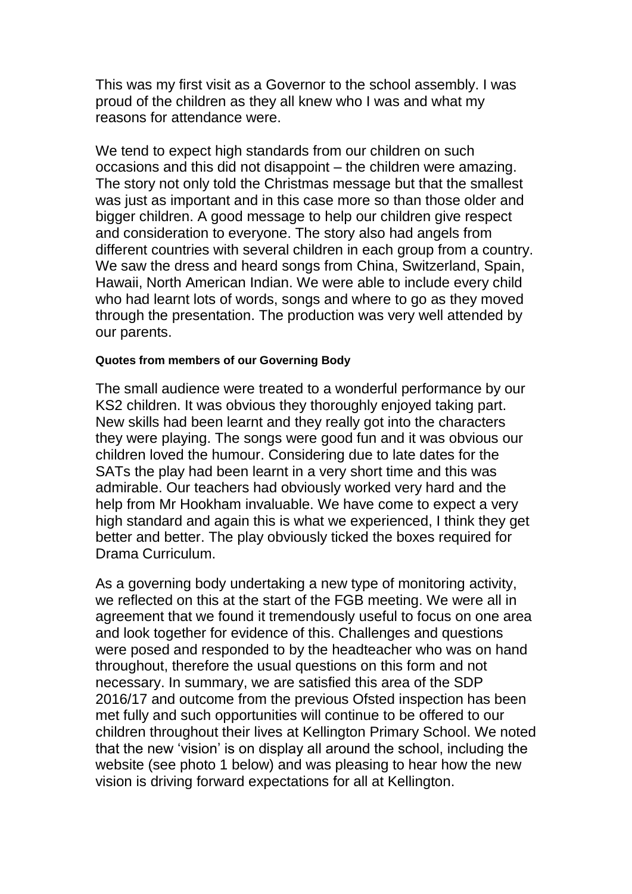This was my first visit as a Governor to the school assembly. I was proud of the children as they all knew who I was and what my reasons for attendance were.

We tend to expect high standards from our children on such occasions and this did not disappoint – the children were amazing. The story not only told the Christmas message but that the smallest was just as important and in this case more so than those older and bigger children. A good message to help our children give respect and consideration to everyone. The story also had angels from different countries with several children in each group from a country. We saw the dress and heard songs from China, Switzerland, Spain, Hawaii, North American Indian. We were able to include every child who had learnt lots of words, songs and where to go as they moved through the presentation. The production was very well attended by our parents.

### **Quotes from members of our Governing Body**

The small audience were treated to a wonderful performance by our KS2 children. It was obvious they thoroughly enjoyed taking part. New skills had been learnt and they really got into the characters they were playing. The songs were good fun and it was obvious our children loved the humour. Considering due to late dates for the SATs the play had been learnt in a very short time and this was admirable. Our teachers had obviously worked very hard and the help from Mr Hookham invaluable. We have come to expect a very high standard and again this is what we experienced, I think they get better and better. The play obviously ticked the boxes required for Drama Curriculum.

As a governing body undertaking a new type of monitoring activity, we reflected on this at the start of the FGB meeting. We were all in agreement that we found it tremendously useful to focus on one area and look together for evidence of this. Challenges and questions were posed and responded to by the headteacher who was on hand throughout, therefore the usual questions on this form and not necessary. In summary, we are satisfied this area of the SDP 2016/17 and outcome from the previous Ofsted inspection has been met fully and such opportunities will continue to be offered to our children throughout their lives at Kellington Primary School. We noted that the new 'vision' is on display all around the school, including the website (see photo 1 below) and was pleasing to hear how the new vision is driving forward expectations for all at Kellington.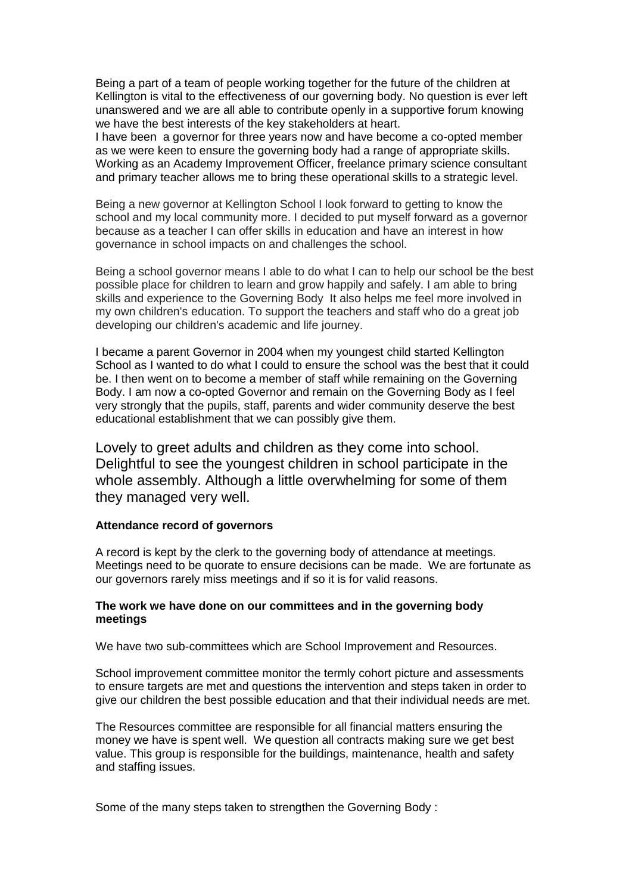Being a part of a team of people working together for the future of the children at Kellington is vital to the effectiveness of our governing body. No question is ever left unanswered and we are all able to contribute openly in a supportive forum knowing we have the best interests of the key stakeholders at heart.

I have been a governor for three years now and have become a co-opted member as we were keen to ensure the governing body had a range of appropriate skills. Working as an Academy Improvement Officer, freelance primary science consultant and primary teacher allows me to bring these operational skills to a strategic level.

Being a new governor at Kellington School I look forward to getting to know the school and my local community more. I decided to put myself forward as a governor because as a teacher I can offer skills in education and have an interest in how governance in school impacts on and challenges the school.

Being a school governor means I able to do what I can to help our school be the best possible place for children to learn and grow happily and safely. I am able to bring skills and experience to the Governing Body It also helps me feel more involved in my own children's education. To support the teachers and staff who do a great job developing our children's academic and life journey.

I became a parent Governor in 2004 when my youngest child started Kellington School as I wanted to do what I could to ensure the school was the best that it could be. I then went on to become a member of staff while remaining on the Governing Body. I am now a co-opted Governor and remain on the Governing Body as I feel very strongly that the pupils, staff, parents and wider community deserve the best educational establishment that we can possibly give them.

Lovely to greet adults and children as they come into school. Delightful to see the youngest children in school participate in the whole assembly. Although a little overwhelming for some of them they managed very well.

#### **Attendance record of governors**

A record is kept by the clerk to the governing body of attendance at meetings. Meetings need to be quorate to ensure decisions can be made. We are fortunate as our governors rarely miss meetings and if so it is for valid reasons.

#### **The work we have done on our committees and in the governing body meetings**

We have two sub-committees which are School Improvement and Resources.

School improvement committee monitor the termly cohort picture and assessments to ensure targets are met and questions the intervention and steps taken in order to give our children the best possible education and that their individual needs are met.

The Resources committee are responsible for all financial matters ensuring the money we have is spent well. We question all contracts making sure we get best value. This group is responsible for the buildings, maintenance, health and safety and staffing issues.

Some of the many steps taken to strengthen the Governing Body :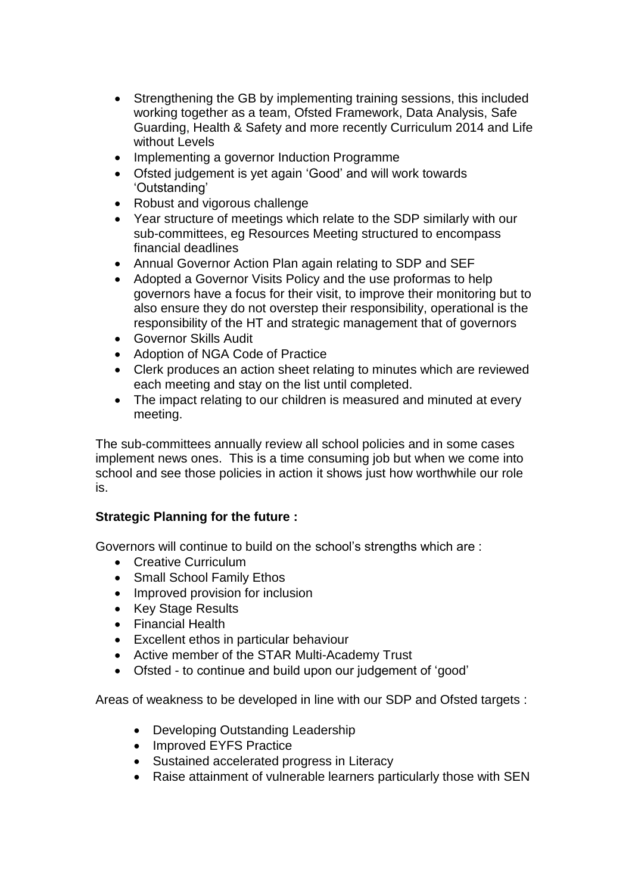- Strengthening the GB by implementing training sessions, this included working together as a team, Ofsted Framework, Data Analysis, Safe Guarding, Health & Safety and more recently Curriculum 2014 and Life without Levels
- Implementing a governor Induction Programme
- Ofsted judgement is yet again 'Good' and will work towards 'Outstanding'
- Robust and vigorous challenge
- Year structure of meetings which relate to the SDP similarly with our sub-committees, eg Resources Meeting structured to encompass financial deadlines
- Annual Governor Action Plan again relating to SDP and SEF
- Adopted a Governor Visits Policy and the use proformas to help governors have a focus for their visit, to improve their monitoring but to also ensure they do not overstep their responsibility, operational is the responsibility of the HT and strategic management that of governors
- Governor Skills Audit
- Adoption of NGA Code of Practice
- Clerk produces an action sheet relating to minutes which are reviewed each meeting and stay on the list until completed.
- The impact relating to our children is measured and minuted at every meeting.

The sub-committees annually review all school policies and in some cases implement news ones. This is a time consuming job but when we come into school and see those policies in action it shows just how worthwhile our role is.

# **Strategic Planning for the future :**

Governors will continue to build on the school's strengths which are :

- Creative Curriculum
- Small School Family Ethos
- Improved provision for inclusion
- Key Stage Results
- Financial Health
- Excellent ethos in particular behaviour
- Active member of the STAR Multi-Academy Trust
- Ofsted to continue and build upon our judgement of 'good'

Areas of weakness to be developed in line with our SDP and Ofsted targets :

- Developing Outstanding Leadership
- Improved EYFS Practice
- Sustained accelerated progress in Literacy
- Raise attainment of vulnerable learners particularly those with SEN